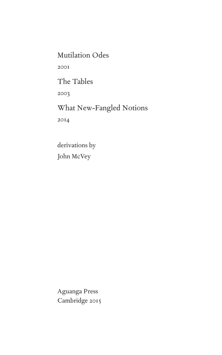Mutilation Odes

2001

The Tables

2003

What New-Fangled Notions 2014

derivations by John McVey

Aguanga Press Cambridge 2015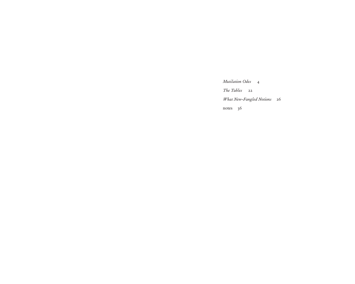*Mutilation Odes* 4

*The Tables* 22

*What New-Fangled Notions* 26

notes 36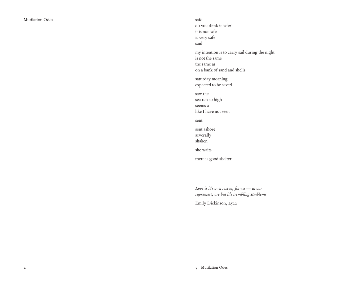safe do you think it safe? it is not safe is very safe said my intention is to carry sail during the night is not the same the same as on a bank of sand and shells saturday morning expected to be saved saw the sea ran so high seems a like I have not seen sent sent ashore severally shaken she waits there is good shelter

*Love is it's own rescue, for we — at our supremest, are but it's trembling Emblems*

Emily Dickinson, L522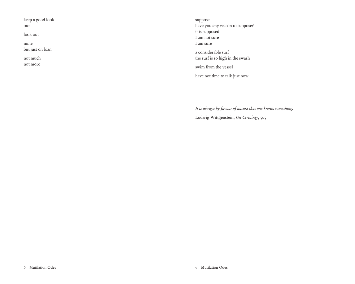keep a good look

out

look out

mine but just on loan

not much

not more

suppose have you any reason to suppose? it is supposed I am not sure I am sure a considerable surf the surf is so high in the swash swim from the vessel have not time to talk just now

*It is always by favour of nature that one knows something.* Ludwig Wittgenstein, *On Certainty*, 505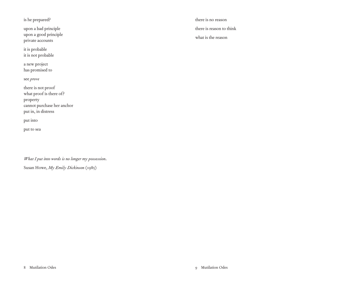is he prepared?

upon a bad principle upon a good principle private accounts

it is probable it is not probable

a new project has promised to

see *prove*

there is not proof what proof is there of? property cannot purchase her anchor put in, in distress

put into

put to sea

*What I put into words is no longer my possession.* Susan Howe, *My Emily Dickinson* (1985)

there is no reason there is reason to think what is the reason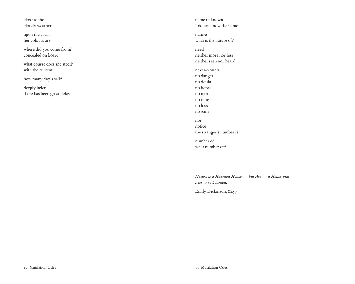close to the cloudy weather

upon the coast her colours are

where did you come from? concealed on board

what course does she steer? with the current

how many day's sail?

deeply laden there has been great delay

name unknown I do not know the name nature what is the nature of? need neither more nor less neither seen nor heard next accounts no danger no doubt no hopes no more no time no loss no gain nor notice the stranger's number is number of what number of?

*Nature is a Haunted House — but Art — a House that tries to be haunted.*

Emily Dickinson, L459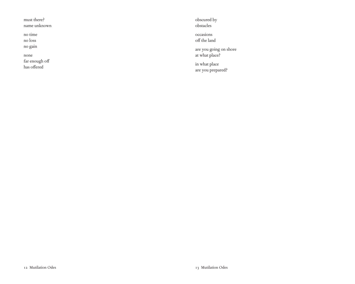must there?

name unknown

no time

no loss

no gain

none

far enough off has offered

obscured by obstacles

occasions off the land

are you going on shore at what place?

in what place are you prepared?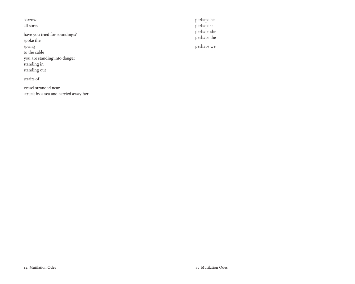sorrow all sorts

have you tried for soundings? spoke the spring to the cable you are standing into danger standing in standing out

straits of

vessel stranded near struck by a sea and carried away her perhaps he perhaps it perhaps she perhaps the

perhaps we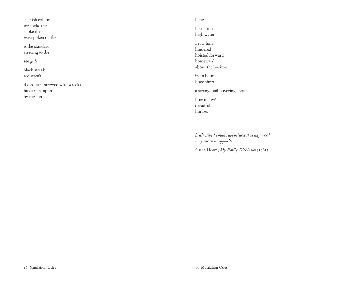| spanish colours                                     |
|-----------------------------------------------------|
| we spoke the                                        |
| spoke the                                           |
| was spoken on the                                   |
| is the standard<br>steering to the                  |
| see gale                                            |
| black streak                                        |
| red streak                                          |
| the coast is strewed with wrecks<br>has struck upon |
| by the sun                                          |
|                                                     |
|                                                     |

#### hence

hesitation high water I saw him hindered hoisted forward homeward above the horizon in an hour hove short a strange sail hovering about how many? dreadful hurries

*instinctive human supposition that any word may mean its opposite* Susan Howe, *My Emily Dickinson* (1985)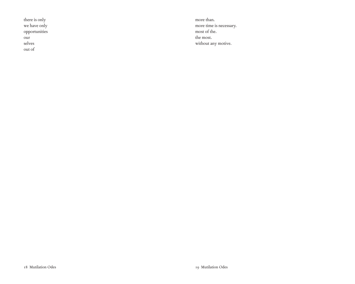there is only we have only opportunities our selves out of

more than. more time is necessary. most of the. the most. without any motive.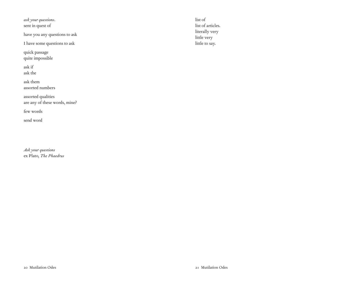*ask your questions*. sent in quest of

have you any questions to ask

I have some questions to ask

quick passage quite impossible

ask if ask the

ask them assorted numbers

assorted qualities are any of these words, mine?

few words

send word

*Ask your questions* ex Plato, *The Phaedrus* list of list of articles. literally very little very little to say.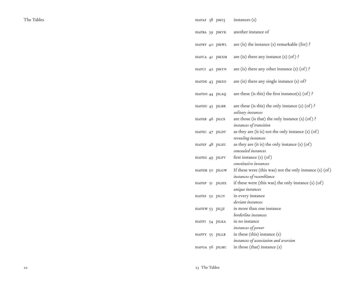| HAFAZ 38 JSKUJ | instances (s)                                                                       |
|----------------|-------------------------------------------------------------------------------------|
| HAFBA 39 JSKVK | another instance of                                                                 |
| HAFBY 40 JSKWL | are (is) the instance (s) remarkable (for) $\}$                                     |
| HAFCA 41 JSKXM | are (is) there any instance $(s)$ (of)?                                             |
| HAFCI 42 JSKYN | are (is) there any other instance (s) (of)?                                         |
| HAFDE 43 JSKZO | are (is) there any single instance $(s)$ of?                                        |
| HAFDO 44 JSLAQ | are these (is this) the first instance(s) (of)?                                     |
| HAFDU 45 JSLBR | are these (is this) the only instance $(s)$ (of)?<br>solitary instances             |
| HAFEB 46 JSLCS | are those (is that) the only instance $(s)$ (of)?<br>instances of transition        |
| HAFEC 47 JSLDT | as they are (it is) not the only instance (s) (of)<br>revealing instances           |
| HAFEF 48 JSLEU | as they are (it is) the only instance (s) (of)<br>concealed instances               |
| HAFEG 49 JSLFV | first instance (s) (of)<br>constitutive instances                                   |
| HAFEM 50 JSLGW | If these were (this was) not the only instance (s) (of)<br>instances of resemblance |
| HAFEP 51 JSLHX | if these were (this was) the only instance (s) (of)<br>unique instances             |
| HAFES 52 JSLIY | in every instance<br>deviant instances                                              |
| HAFEW 53 JSLJZ | in more than one instance<br>borderline instances                                   |
| HAFFI 54 JSLKA | in no instance                                                                      |
| HAFFY 55 JSLLB | instances of power<br>in these (this) instance (s)                                  |
| HAFGA 56 JSLMC | instances of association and aversion<br>in those (that) instance (s)               |
|                |                                                                                     |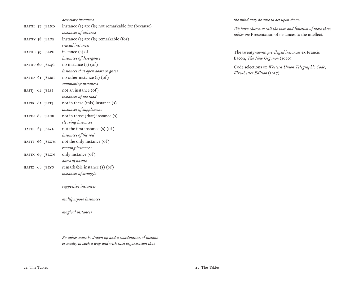|                |                | accessory instances                                |
|----------------|----------------|----------------------------------------------------|
| HAFGI 57 JSLND |                | instance (s) are (is) not remarkable for (because) |
|                |                | instances of alliance                              |
| HAFGY 58 JSLOE |                | instance (s) are (is) remarkable (for)             |
|                |                | crucial instances                                  |
|                | HAFHE 59 JSLPF | instance $(s)$ of                                  |
|                |                | instances of divergence                            |
| HAFHU 60 JSLQG |                | no instance (s) (of)                               |
|                |                | instances that open doors or gates                 |
| HAFID 61 JSLRH |                | no other instance $(s)$ $($ of $)$                 |
|                |                | summoning instances                                |
| HAFIJ 62 JSLSI |                | not an instance (of)                               |
|                |                | instances of the road                              |
| HAFIK 63 JSLTJ |                | not in these (this) instance (s)                   |
|                |                | instances of supplement                            |
| HAFIN 64 JSLUK |                | not in those (that) instance (s)                   |
|                |                | cleaving instances                                 |
| HAFIR 65 JSLVL |                | not the first instance $(s)$ $($ of $)$            |
|                |                | instances of the rod                               |
|                | HAFIT 66 JSLWM | not the only instance (of)                         |
|                |                | running instances                                  |
|                | HAFIX 67 JSLXN | only instance (of)                                 |
|                |                | doses of nature                                    |
| HAFIZ 68 JSLYO |                | remarkable instance (s) (of)                       |
|                |                | instances of struggle                              |
|                |                | suggestive instances                               |

*multipurpose instances*

*magical instances*

*So tables must be drawn up and a coordination of instances made, in such a way and with such organisation that* 

*the mind may be able to act upon them.*

*We have chosen to call the task and function of these three tables the* Presentation of instances to the intellect.

The twenty-seven *privileged instances* ex Francis Bacon, *The New Organon* (1620)

Code selections ex *Western Union Telegraphic Code*, *Five-Letter Edition* (1917)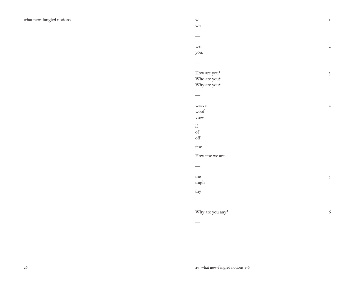| $\mathbf{W}$                                                                                                                                                                                                                                                                                                                                                                                                                                                                                |  |
|---------------------------------------------------------------------------------------------------------------------------------------------------------------------------------------------------------------------------------------------------------------------------------------------------------------------------------------------------------------------------------------------------------------------------------------------------------------------------------------------|--|
| $\operatorname{wh}$                                                                                                                                                                                                                                                                                                                                                                                                                                                                         |  |
|                                                                                                                                                                                                                                                                                                                                                                                                                                                                                             |  |
|                                                                                                                                                                                                                                                                                                                                                                                                                                                                                             |  |
| we.                                                                                                                                                                                                                                                                                                                                                                                                                                                                                         |  |
| you.                                                                                                                                                                                                                                                                                                                                                                                                                                                                                        |  |
|                                                                                                                                                                                                                                                                                                                                                                                                                                                                                             |  |
|                                                                                                                                                                                                                                                                                                                                                                                                                                                                                             |  |
| How are you?                                                                                                                                                                                                                                                                                                                                                                                                                                                                                |  |
| Who are you?                                                                                                                                                                                                                                                                                                                                                                                                                                                                                |  |
| Why are you?                                                                                                                                                                                                                                                                                                                                                                                                                                                                                |  |
|                                                                                                                                                                                                                                                                                                                                                                                                                                                                                             |  |
|                                                                                                                                                                                                                                                                                                                                                                                                                                                                                             |  |
|                                                                                                                                                                                                                                                                                                                                                                                                                                                                                             |  |
| weave                                                                                                                                                                                                                                                                                                                                                                                                                                                                                       |  |
| woof                                                                                                                                                                                                                                                                                                                                                                                                                                                                                        |  |
| view                                                                                                                                                                                                                                                                                                                                                                                                                                                                                        |  |
| $\mathrm{if}% \begin{bmatrix} \left( \mathbf{r},\mathbf{r}\right) \left( \mathbf{r},\mathbf{r}\right) \left( \mathbf{r},\mathbf{r}\right) \left( \mathbf{r},\mathbf{r}\right) \left( \mathbf{r},\mathbf{r}\right) \left( \mathbf{r},\mathbf{r}\right) \left( \mathbf{r},\mathbf{r}\right) \left( \mathbf{r},\mathbf{r}\right) \left( \mathbf{r},\mathbf{r}\right) \left( \mathbf{r},\mathbf{r}\right) \left( \mathbf{r},\mathbf{r}\right) \left( \mathbf{r},\mathbf{r}\right) \left( \math$ |  |
| $_{\mathrm{of}}$                                                                                                                                                                                                                                                                                                                                                                                                                                                                            |  |
| $\circ \text{ff}$                                                                                                                                                                                                                                                                                                                                                                                                                                                                           |  |
| few.                                                                                                                                                                                                                                                                                                                                                                                                                                                                                        |  |
| How few we are.                                                                                                                                                                                                                                                                                                                                                                                                                                                                             |  |
|                                                                                                                                                                                                                                                                                                                                                                                                                                                                                             |  |
|                                                                                                                                                                                                                                                                                                                                                                                                                                                                                             |  |
| the                                                                                                                                                                                                                                                                                                                                                                                                                                                                                         |  |
| thigh                                                                                                                                                                                                                                                                                                                                                                                                                                                                                       |  |
| thy                                                                                                                                                                                                                                                                                                                                                                                                                                                                                         |  |
|                                                                                                                                                                                                                                                                                                                                                                                                                                                                                             |  |
|                                                                                                                                                                                                                                                                                                                                                                                                                                                                                             |  |
| Why are you any?                                                                                                                                                                                                                                                                                                                                                                                                                                                                            |  |

—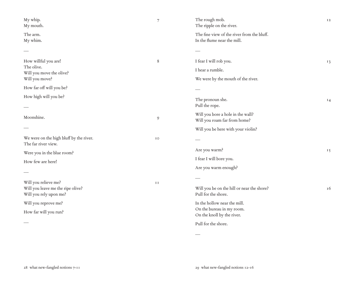| My whip.<br>My mouth.                                                               | $\overline{7}$ | The rough mob.<br>The ripple on the river.                                              | I <sub>2</sub> |
|-------------------------------------------------------------------------------------|----------------|-----------------------------------------------------------------------------------------|----------------|
| The arm.<br>My whim.                                                                |                | The fine view of the river from the bluff.<br>In the flume near the mill.               |                |
|                                                                                     |                |                                                                                         |                |
| How willful you are!<br>The olive.<br>Will you move the olive?                      | 8              | I fear I will rob you.<br>I hear a rumble.                                              | 13             |
| Will you move?                                                                      |                | We were by the mouth of the river.                                                      |                |
| How far off will you be?                                                            |                |                                                                                         |                |
| How high will you be?                                                               |                | The pronoun she.<br>Pull the rope.                                                      | 14             |
| Moonshine.                                                                          | $\mathcal{O}$  | Will you bore a hole in the wall?<br>Will you roam far from home?                       |                |
|                                                                                     |                | Will you be here with your violin?                                                      |                |
| We were on the high bluff by the river.<br>The far river view.                      | IO             |                                                                                         |                |
| Were you in the blue room?                                                          |                | Are you warm?                                                                           | 15             |
| How few are here!                                                                   |                | I fear I will bore you.                                                                 |                |
|                                                                                     |                | Are you warm enough?                                                                    |                |
| Will you relieve me?<br>Will you leave me the ripe olive?<br>Will you rely upon me? | <b>II</b>      | Will you be on the hill or near the shore?<br>Pull for the shore.                       | 16             |
| Will you reprove me?<br>How far will you run?                                       |                | In the hollow near the mill.<br>On the bureau in my room.<br>On the knoll by the river. |                |
|                                                                                     |                | Pull for the shore.                                                                     |                |
|                                                                                     |                |                                                                                         |                |

—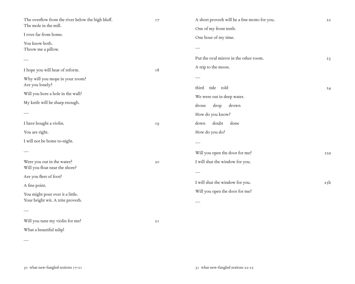| The overflow from the river below the high bluff.<br>The mole in the mill.<br>I rove far from home.<br>You know both.<br>Throw me a pillow.<br>I hope you will hear of reform.<br>Why will you mope in your room? | 17<br>18        | A short proverb will be a fine motto for you.<br>One of my front teeth.<br>One hour of my time.<br>Put the oval mirror in the other room.<br>A trip to the moon. | 22<br>23 |
|-------------------------------------------------------------------------------------------------------------------------------------------------------------------------------------------------------------------|-----------------|------------------------------------------------------------------------------------------------------------------------------------------------------------------|----------|
| Are you lonely?<br>Will you bore a hole in the wall?<br>My knife will be sharp enough.                                                                                                                            |                 | third tide told<br>We were out in deep water.<br>drown<br>drone<br>drop<br>How do you know?                                                                      | 24       |
| I have bought a violin.<br>You are right.<br>I will not be home to-night.                                                                                                                                         | 19              | doubt<br>done<br>down<br>How do you do?<br>Will you open the door for me?                                                                                        | 25a      |
| Were you out in the water?<br>Will you float near the shore?<br>Are you fleet of foot?<br>A fine point.<br>You might pout over it a little.<br>Your bright wit. A trite proverb.                                  | 20              | I will shut the window for you.<br>I will shut the window for you.<br>Will you open the door for me?                                                             | 25b      |
| Will you tune my violin for me?<br>What a beautiful tulip!                                                                                                                                                        | $2\,\mathrm{I}$ |                                                                                                                                                                  |          |

—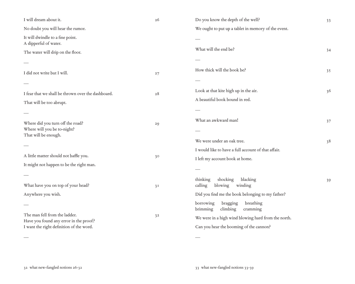| I will dream about it.                                                                  | 26             | Do you know the depth of the well?                                                     | 33 |
|-----------------------------------------------------------------------------------------|----------------|----------------------------------------------------------------------------------------|----|
| No doubt you will hear the rumor.                                                       |                | We ought to put up a tablet in memory of the event.                                    |    |
| It will dwindle to a fine point.<br>A dipperful of water.                               |                |                                                                                        |    |
| The water will drip on the floor.                                                       |                | What will the end be?                                                                  | 34 |
|                                                                                         |                |                                                                                        |    |
| I did not write but I will.                                                             | 27             | How thick will the book be?                                                            | 35 |
|                                                                                         |                |                                                                                        |    |
| I fear that we shall be thrown over the dashboard.                                      | 28             | Look at that kite high up in the air.                                                  | 36 |
| That will be too abrupt.                                                                |                | A beautiful book bound in red.                                                         |    |
|                                                                                         |                |                                                                                        |    |
| Where did you turn off the road?<br>Where will you be to-night?<br>That will be enough. | 29             | What an awkward man!                                                                   | 37 |
|                                                                                         |                |                                                                                        |    |
|                                                                                         |                | We were under an oak tree.                                                             | 38 |
| A little matter should not baffle you.                                                  | 30             | I would like to have a full account of that affair.<br>I left my account book at home. |    |
| It might not happen to be the right man.                                                |                |                                                                                        |    |
|                                                                                         |                |                                                                                        |    |
| What have you on top of your head?                                                      | 3 <sub>1</sub> | shocking<br>thinking<br>blacking<br>calling<br>blowing<br>winding                      | 39 |
| Anywhere you wish.                                                                      |                | Did you find me the book belonging to my father?                                       |    |
|                                                                                         | 3 <sup>2</sup> | borrowing<br>bragging<br>breathing<br>brimming<br>climbing<br>cramming                 |    |
| The man fell from the ladder.<br>Have you found any error in the proof?                 |                | We were in a high wind blowing hard from the north.                                    |    |
| I want the right definition of the word.                                                |                | Can you hear the booming of the cannon?                                                |    |
|                                                                                         |                |                                                                                        |    |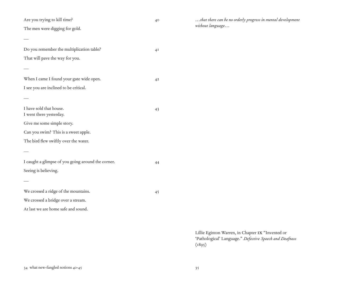Are you trying to kill time? 40

—

—

—

—

—

The men were digging for gold.

Do you remember the multiplication table? 41 That will pave the way for you.

When I came I found your gate wide open. 42 I see you are inclined to be critical.

I have sold that house. 43 I went there yesterday. Give me some simple story.

Can you swim? This is a sweet apple.

The bird flew swiftly over the water.

I caught a glimpse of you going around the corner. 44 Seeing is believing.

We crossed a ridge of the mountains. 45

We crossed a bridge over a stream.

At last we are home safe and sound.

*…that there can be no orderly progress in mental development without language…*

Lillie Eginton Warren, in Chapter ix "Invented or 'Pathological' Language." *Defective Speech and Deafness*  $(1895)$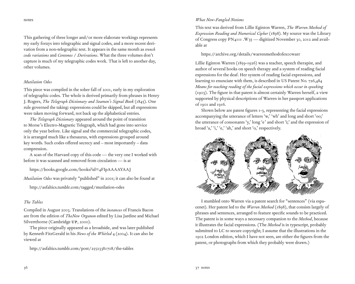notes

This gathering of three longer and/or more elaborate workings represents my early forays into telegraphic and signal codes, and a more recent derivation from a non-telegraphic text. It appears in the same month as *trench code variations* and *Centones* / *Derivations*. What the three volumes don't capture is much of my telegraphic codes work. That is left to another day, other volumes.

## *Mutilation Odes*

This piece was compiled in the sober fall of 2001, early in my exploration of telegraphic codes. The whole is derived primarily from phrases in Henry J. Rogers, *The Telegraph Dictionary and Seamen's Signal Book* (1845). One rule governed the taking: expressions could be skipped, but all expressions were taken moving forward, not back up the alphabetical entries.

*The Telegraph Dictionary* appeared around the point of transition to Morse's Electro-Magnetic Telegraph, which had gone into service only the year before. Like signal and the commercial telegraphic codes, it is arranged much like a thesaurus, with expressions grouped around key words. Such codes offered secrecy and – most importantly – data compression.

A scan of the Harvard copy of this code — the very one I worked with before it was scanned and removed from circulation — is at

https://books.google.com/books?id=4FIpAAAAYAAJ

*Mutilation Odes* was privately "published" in 2001; it can also be found at

http://asfaltics.tumblr.com/tagged/mutilation-odes

# *The Tables*

Compiled in August 2003. Translations of the *instances* of Francis Bacon are from the edition of *TheNew Organon* edited by Lisa Jardine and Michael Silvertthorne (Cambridge UP, 2000).

The piece originally appeared as a broadside, and was later published by Kenneth FitzGerald in his *News of the Whirled* 4 (2004). It can also be viewed at

http://asfaltics.tumblr.com/post/25523381708/the-tables

## *What New-Fangled Notions*

This text was derived from Lillie Eginton Warren, *The Warren Method of Expression Reading and Numerical Cipher* (1898). My source was the Library of Congress copy PN4111 .W35 — digitized November 30, 2012 and available at

https://archive.org/details/warrenmethodofexoowarr

Lillie Eginton Warren (1859-1926) was a teacher, speech therapist, and author of several books on speech therapy and a system of reading facial expressions for the deaf. Her system of reading facial expressions, and learning to enunciate with them, is described in US Patent No. 726,484 *Means for teaching reading of the facial expressions which occur in speaking* (1903). The figure in that patent is almost certainly Warren herself, a view supported by physical descriptions of Warren in her passport applications of 1901 and 1916.

Shown below are patent figures 1-3, representing the facial expressions accompanying the utterance of letters 'w,' 'wh' and long and short 'oo;' the utterance of consonants 'y,' long 'e' and short 'i;' and the expression of broad 'a,' 'i,' 'e,' 'ah,' and short 'o,' respectively.



I stumbled onto Warren via a patent search for "sentences" (via espacenet). Her patent led to the *Warren Method* (1898), that consists largely of phrases and sentences, arranged to feature specific sounds to be practiced. The patent is in some ways a necessary companion to the *Method*, because it illustrates the facial expressions. (The *Method* is in typescript, probably submitted to LC to secure copyright; I assume that the illustrations in the 1902 London edition, which I have not seen, are either the figures from the patent, or photographs from which they probably were drawn.)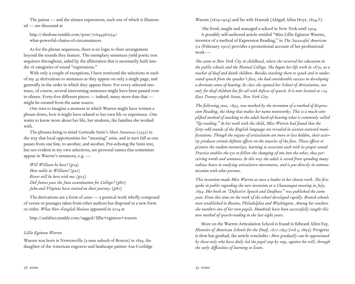The patent — and the sixteen expressions, each one of which is illustrated — are discussed at

http://shedone.tumblr.com/post/70644360554/ what-powerful-chains-of-circumstances

As for the phrase sequences, there is no logic to their arrangement beyond the sounds they feature. The exemplary sentences yield poetic non sequiturs throughout, aided by the alliteration that is necessarily built into the 16 categories of sound "expressions."

With only a couple of exceptions, I have restricted the selections in each of my 45 derivations to sentences as they appear on only a single page, and generally in the order in which they appear there. For every selected sentence, of course, several intervening sentences might have been passed over in silence. Forty-five different pieces — indeed, many more than that might be created from the same source.

One tries to imagine a moment in which Warren might have written a phrase down, how it might have related to her own life or experience. One wants to know more about her life, her students, the families she worked with.

The phrases bring to mind Gertrude Stein's *Short Sentences* (1932) in the way that local opportunities for "meaning" arise, and in turn fall as one passes from one line, to another, and another. Pre-echoing the Stein text, but not evident in my own selections, are personal names that sometimes appear in Warren's sentences, e.g. —

*Will William be here?* (p14) *How noble in William!* (p21) *Rover will be here with me.* (p23) *Did James pass the June examination for College?* (p80) *John and Virginia have started on their journey.* (p80)

The derivations are a form of *cento* — a poetical work wholly composed of verses or passages taken from other authors but disposed in a new form or order. *What New-Fangled Notions* appeared in 2014 at

http://asfaltics.tumblr.com/tagged/lillie+eginton+warren

# *Lillie Eginton Warren*

Warren was born in Newtonville (a near suburb of Boston) in 1859, the daughter of the American engraver and landscape painter Asa Coolidge Warren (1819-1904) and his wife Hannah (Abigail Allen Hoyt, 1824-?).

 She lived, taught and managed a school in New York until 1904. A possibly self-authored article entitled "Miss Lillie Eginton Warren, inventor of a method of Expression Reading," in *The Successful American* 5:2 (February 1902) provides a promotional account of her professional work —

*She came to New York City in childhood, where she received her education in the public schools and the Normal College. She began her life work in 1879, as a teacher of deaf and dumb children. Besides teaching them to speak and to understand speech from the speaker's face, she had considerable success in developing a dormant sense of hearing. In 1892 she opened her School of Articulation, not only for deaf children but for all with defects of speech. It is now located at 124 East Twenty-eighth Street, New York City.*

*The following year, 1893, was marked by the invention of a method of Expression Reading, the thing that makes her name noteworthy. This is a much-simplified method of teaching to the adult hard-of-hearing what is commonly called "lip-reading." In her work with the child, Miss Warren had found that the forty-odd sounds of the English language are revealed in sixteen outward manifestations. Though the organs of articulation are more or less hidden, their activity produces certain definite effects on the muscles of the face. These effects or pictures the student memorizes, learning to associate each with its proper sound. Practice enables the eye to follow the changing of one into the other, thus perceiving words and sentences. In this way the adult is saved from spending many tedious hours in studying articulative movements, and is put directly in communication with other persons.*

*This invention made Miss Warren at once a leader in her chosen work. She first spoke in public regarding the new invention at a Chautauqua meeting in July, 1894. Her book on "Defective Speech and Deafness" was published the same year. From this time on the work of the school developed rapidly. Branch schools were established in Boston, Philadelphia and Washington. Among her teachers she numbers one of her own pupils. Hundreds have been successfully taught this new method of speech-reading in the last eight years.*

More on the Warren Articulation School is found in Edward Allen Fay, *Histories of American Schools for the Deaf, 1817-1893* (vol 3, 1893). Progress is slow but gradual, the article concludes : *How gradually can be appreciated by those only who have daily led the pupil step by step, against his will, through the early difficulties of learning to listen.*